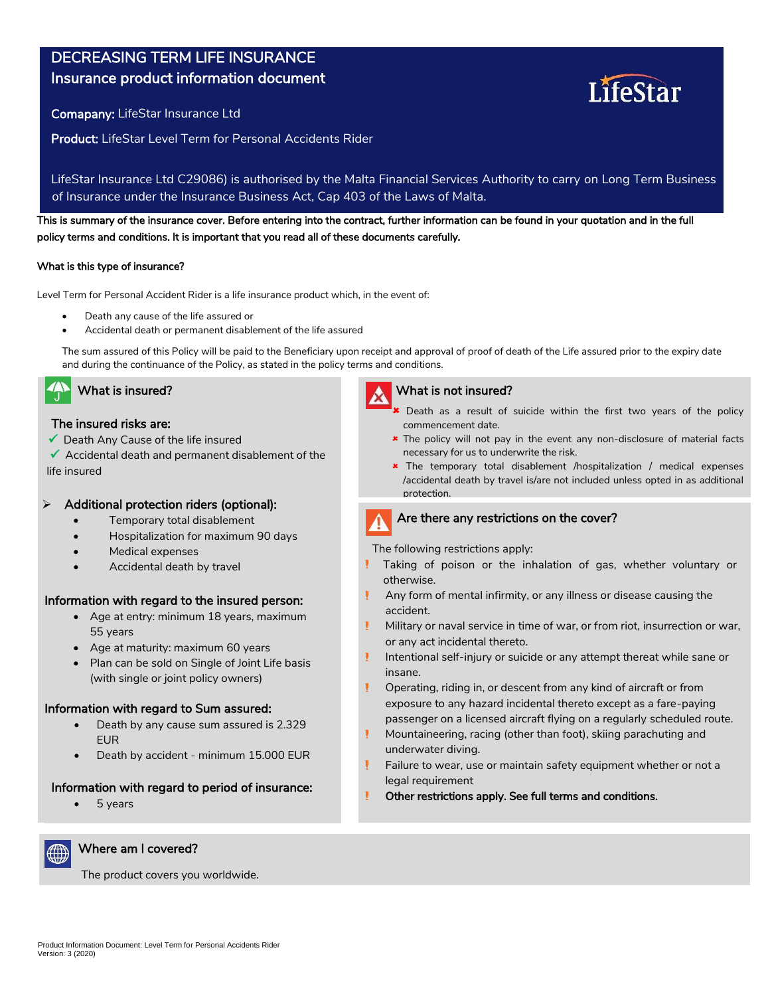# DECREASING TERM LIFE INSURANCE

# Insurance product information document

Comapany: LifeStar Insurance Ltd

Product: LifeStar Level Term for Personal Accidents Rider

LifeStar Insurance Ltd C29086) is authorised by the Malta Financial Services Authority to carry on Long Term Business of Insurance under the Insurance Business Act, Cap 403 of the Laws of Malta.

This is summary of the insurance cover. Before entering into the contract, further information can be found in your quotation and in the full policy terms and conditions. It is important that you read all of these documents carefully.

## What is this type of insurance?

Level Term for Personal Accident Rider is a life insurance product which, in the event of:

- Death any cause of the life assured or
- Accidental death or permanent disablement of the life assured

The sum assured of this Policy will be paid to the Beneficiary upon receipt and approval of proof of death of the Life assured prior to the expiry date and during the continuance of the Policy, as stated in the policy terms and conditions.



# The insured risks are:

 $\checkmark$  Death Any Cause of the life insured

 $\checkmark$  Accidental death and permanent disablement of the life insured

# Additional protection riders (optional):

- Temporary total disablement
- Hospitalization for maximum 90 days
- Medical expenses
- Accidental death by travel

## Information with regard to the insured person:

- Age at entry: minimum 18 years, maximum 55 years
- Age at maturity: maximum 60 years
- Plan can be sold on Single of Joint Life basis (with single or joint policy owners)

## Information with regard to Sum assured:

- Death by any cause sum assured is 2.329 EUR
- Death by accident minimum 15.000 EUR

# Information with regard to period of insurance:

The product covers you worldwide.

 $• 5 \, years$ 



## What is insured? What is not insured?

- **C** Death as a result of suicide within the first two years of the policy commencement date.
- \* The policy will not pay in the event any non-disclosure of material facts necessary for us to underwrite the risk.
- \* The temporary total disablement /hospitalization / medical expenses /accidental death by travel is/are not included unless opted in as additional protection.

# Are there any restrictions on the cover?

The following restrictions apply:

Fracturi patologice

- otherwise. Taking of poison or the inhalation of gas, whether voluntary or
- accident. Any form of mental infirmity, or any illness or disease causing the
- Ţ. Military or naval service in time of war, or from riot, insurrection or war, or any act incidental thereto.
- Ţ Intentional self-injury or suicide or any attempt thereat while sane or insane.
- Operating, riding in, or descent from any kind of aircraft or from passenger on a licensed aircraft flying on a regularly scheduled route. exposure to any hazard incidental thereto except as a fare-paying
- Ţ. Mountaineering, racing (other than foot), skiing parachuting and Incapacitate temporară de muncă ca urmare a oricărui eveniment legat de underwater diving.
- υ Failure to wear, use or maintain safety equipment whether or not a legal requirement
- Other restrictions apply. See full terms and conditions. Ţ

Where am I covered?